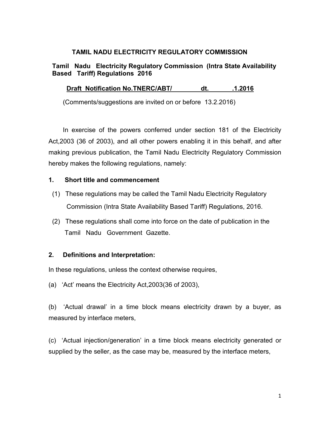#### TAMIL NADU ELECTRICITY REGULATORY COMMISSION

# Tamil Nadu Electricity Regulatory Commission (Intra State Availability Based Tariff) Regulations 2016

# Draft Notification No.TNERC/ABT/ dt. 1.2016

(Comments/suggestions are invited on or before 13.2.2016)

 In exercise of the powers conferred under section 181 of the Electricity Act,2003 (36 of 2003), and all other powers enabling it in this behalf, and after making previous publication, the Tamil Nadu Electricity Regulatory Commission hereby makes the following regulations, namely:

#### 1. Short title and commencement

- (1) These regulations may be called the Tamil Nadu Electricity Regulatory Commission (Intra State Availability Based Tariff) Regulations, 2016.
- (2) These regulations shall come into force on the date of publication in the Tamil Nadu Government Gazette.

# 2. Definitions and Interpretation:

In these regulations, unless the context otherwise requires,

(a) 'Act' means the Electricity Act,2003(36 of 2003),

(b) 'Actual drawal' in a time block means electricity drawn by a buyer, as measured by interface meters,

(c) 'Actual injection/generation' in a time block means electricity generated or supplied by the seller, as the case may be, measured by the interface meters,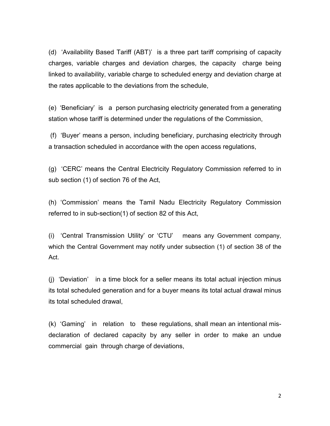(d) 'Availability Based Tariff (ABT)' is a three part tariff comprising of capacity charges, variable charges and deviation charges, the capacity charge being linked to availability, variable charge to scheduled energy and deviation charge at the rates applicable to the deviations from the schedule,

(e) 'Beneficiary' is a person purchasing electricity generated from a generating station whose tariff is determined under the regulations of the Commission,

 (f) 'Buyer' means a person, including beneficiary, purchasing electricity through a transaction scheduled in accordance with the open access regulations,

(g) 'CERC' means the Central Electricity Regulatory Commission referred to in sub section (1) of section 76 of the Act,

(h) 'Commission' means the Tamil Nadu Electricity Regulatory Commission referred to in sub-section(1) of section 82 of this Act,

(i) 'Central Transmission Utility' or 'CTU' means any Government company, which the Central Government may notify under subsection (1) of section 38 of the Act.

(j) 'Deviation' in a time block for a seller means its total actual injection minus its total scheduled generation and for a buyer means its total actual drawal minus its total scheduled drawal,

(k) 'Gaming' in relation to these regulations, shall mean an intentional misdeclaration of declared capacity by any seller in order to make an undue commercial gain through charge of deviations,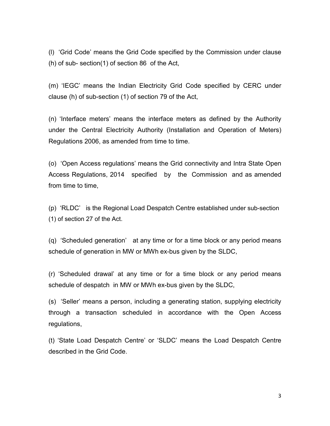(l) 'Grid Code' means the Grid Code specified by the Commission under clause (h) of sub- section(1) of section 86 of the Act,

(m) 'IEGC' means the Indian Electricity Grid Code specified by CERC under clause (h) of sub-section (1) of section 79 of the Act,

(n) 'Interface meters' means the interface meters as defined by the Authority under the Central Electricity Authority (Installation and Operation of Meters) Regulations 2006, as amended from time to time.

(o) 'Open Access regulations' means the Grid connectivity and Intra State Open Access Regulations, 2014 specified by the Commission and as amended from time to time,

(p) 'RLDC' is the Regional Load Despatch Centre established under sub-section (1) of section 27 of the Act.

(q) 'Scheduled generation' at any time or for a time block or any period means schedule of generation in MW or MWh ex-bus given by the SLDC,

(r) 'Scheduled drawal' at any time or for a time block or any period means schedule of despatch in MW or MWh ex-bus given by the SLDC,

(s) 'Seller' means a person, including a generating station, supplying electricity through a transaction scheduled in accordance with the Open Access regulations,

(t) 'State Load Despatch Centre' or 'SLDC' means the Load Despatch Centre described in the Grid Code.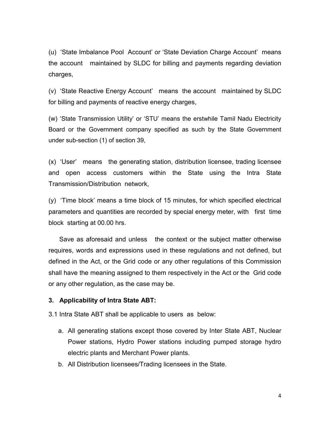(u) 'State Imbalance Pool Account' or 'State Deviation Charge Account' means the account maintained by SLDC for billing and payments regarding deviation charges,

(v) 'State Reactive Energy Account' means the account maintained by SLDC for billing and payments of reactive energy charges,

(w) 'State Transmission Utility' or 'STU' means the erstwhile Tamil Nadu Electricity Board or the Government company specified as such by the State Government under sub-section (1) of section 39,

(x) 'User' means the generating station, distribution licensee, trading licensee and open access customers within the State using the Intra State Transmission/Distribution network,

(y) 'Time block' means a time block of 15 minutes, for which specified electrical parameters and quantities are recorded by special energy meter, with first time block starting at 00.00 hrs.

 Save as aforesaid and unless the context or the subject matter otherwise requires, words and expressions used in these regulations and not defined, but defined in the Act, or the Grid code or any other regulations of this Commission shall have the meaning assigned to them respectively in the Act or the Grid code or any other regulation, as the case may be.

#### 3. Applicability of Intra State ABT:

3.1 Intra State ABT shall be applicable to users as below:

- a. All generating stations except those covered by Inter State ABT, Nuclear Power stations, Hydro Power stations including pumped storage hydro electric plants and Merchant Power plants.
- b. All Distribution licensees/Trading licensees in the State.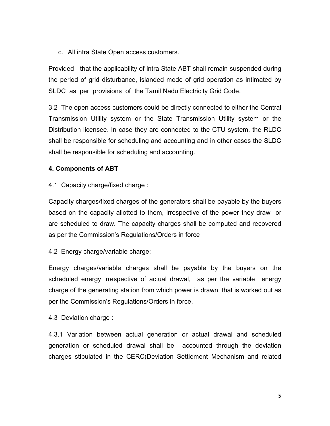c. All intra State Open access customers.

Provided that the applicability of intra State ABT shall remain suspended during the period of grid disturbance, islanded mode of grid operation as intimated by SLDC as per provisions of the Tamil Nadu Electricity Grid Code.

3.2 The open access customers could be directly connected to either the Central Transmission Utility system or the State Transmission Utility system or the Distribution licensee. In case they are connected to the CTU system, the RLDC shall be responsible for scheduling and accounting and in other cases the SLDC shall be responsible for scheduling and accounting.

#### 4. Components of ABT

4.1 Capacity charge/fixed charge :

Capacity charges/fixed charges of the generators shall be payable by the buyers based on the capacity allotted to them, irrespective of the power they draw or are scheduled to draw. The capacity charges shall be computed and recovered as per the Commission's Regulations/Orders in force

4.2 Energy charge/variable charge:

Energy charges/variable charges shall be payable by the buyers on the scheduled energy irrespective of actual drawal, as per the variable energy charge of the generating station from which power is drawn, that is worked out as per the Commission's Regulations/Orders in force.

4.3 Deviation charge :

4.3.1 Variation between actual generation or actual drawal and scheduled generation or scheduled drawal shall be accounted through the deviation charges stipulated in the CERC(Deviation Settlement Mechanism and related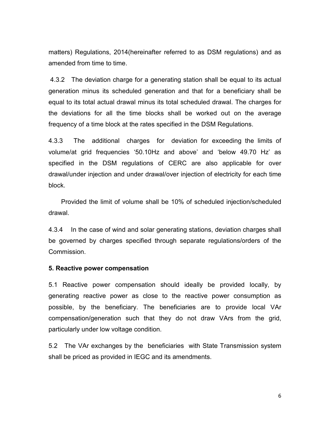matters) Regulations, 2014(hereinafter referred to as DSM regulations) and as amended from time to time.

 4.3.2 The deviation charge for a generating station shall be equal to its actual generation minus its scheduled generation and that for a beneficiary shall be equal to its total actual drawal minus its total scheduled drawal. The charges for the deviations for all the time blocks shall be worked out on the average frequency of a time block at the rates specified in the DSM Regulations.

4.3.3 The additional charges for deviation for exceeding the limits of volume/at grid frequencies '50.10Hz and above' and 'below 49.70 Hz' as specified in the DSM regulations of CERC are also applicable for over drawal/under injection and under drawal/over injection of electricity for each time block.

 Provided the limit of volume shall be 10% of scheduled injection/scheduled drawal.

4.3.4 In the case of wind and solar generating stations, deviation charges shall be governed by charges specified through separate regulations/orders of the Commission.

#### 5. Reactive power compensation

5.1 Reactive power compensation should ideally be provided locally, by generating reactive power as close to the reactive power consumption as possible, by the beneficiary. The beneficiaries are to provide local VAr compensation/generation such that they do not draw VArs from the grid, particularly under low voltage condition.

5.2 The VAr exchanges by the beneficiaries with State Transmission system shall be priced as provided in IEGC and its amendments.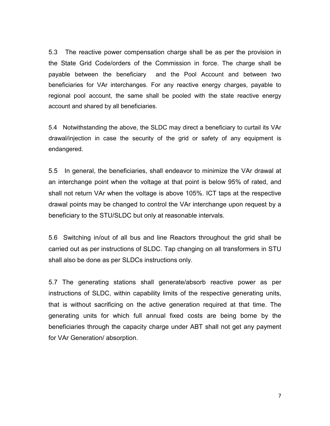5.3 The reactive power compensation charge shall be as per the provision in the State Grid Code/orders of the Commission in force. The charge shall be payable between the beneficiary and the Pool Account and between two beneficiaries for VAr interchanges. For any reactive energy charges, payable to regional pool account, the same shall be pooled with the state reactive energy account and shared by all beneficiaries.

5.4 Notwithstanding the above, the SLDC may direct a beneficiary to curtail its VAr drawal/injection in case the security of the grid or safety of any equipment is endangered.

5.5 In general, the beneficiaries, shall endeavor to minimize the VAr drawal at an interchange point when the voltage at that point is below 95% of rated, and shall not return VAr when the voltage is above 105%. ICT taps at the respective drawal points may be changed to control the VAr interchange upon request by a beneficiary to the STU/SLDC but only at reasonable intervals.

5.6 Switching in/out of all bus and line Reactors throughout the grid shall be carried out as per instructions of SLDC. Tap changing on all transformers in STU shall also be done as per SLDCs instructions only.

5.7 The generating stations shall generate/absorb reactive power as per instructions of SLDC, within capability limits of the respective generating units, that is without sacrificing on the active generation required at that time. The generating units for which full annual fixed costs are being borne by the beneficiaries through the capacity charge under ABT shall not get any payment for VAr Generation/ absorption.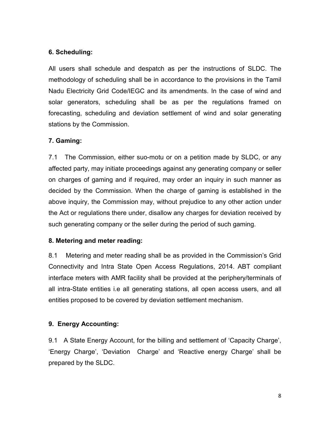# 6. Scheduling:

All users shall schedule and despatch as per the instructions of SLDC. The methodology of scheduling shall be in accordance to the provisions in the Tamil Nadu Electricity Grid Code/IEGC and its amendments. In the case of wind and solar generators, scheduling shall be as per the regulations framed on forecasting, scheduling and deviation settlement of wind and solar generating stations by the Commission.

# 7. Gaming:

7.1 The Commission, either suo-motu or on a petition made by SLDC, or any affected party, may initiate proceedings against any generating company or seller on charges of gaming and if required, may order an inquiry in such manner as decided by the Commission. When the charge of gaming is established in the above inquiry, the Commission may, without prejudice to any other action under the Act or regulations there under, disallow any charges for deviation received by such generating company or the seller during the period of such gaming.

# 8. Metering and meter reading:

8.1 Metering and meter reading shall be as provided in the Commission's Grid Connectivity and Intra State Open Access Regulations, 2014. ABT compliant interface meters with AMR facility shall be provided at the periphery/terminals of all intra-State entities i.e all generating stations, all open access users, and all entities proposed to be covered by deviation settlement mechanism.

# 9. Energy Accounting:

9.1 A State Energy Account, for the billing and settlement of 'Capacity Charge', 'Energy Charge', 'Deviation Charge' and 'Reactive energy Charge' shall be prepared by the SLDC.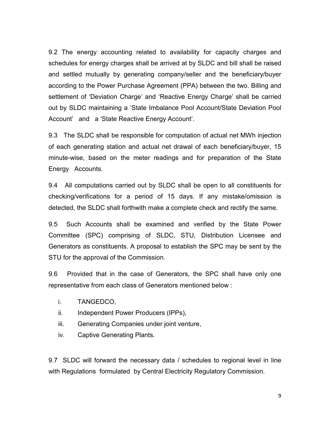9.2 The energy accounting related to availability for capacity charges and schedules for energy charges shall be arrived at by SLDC and bill shall be raised and settled mutually by generating company/seller and the beneficiary/buyer according to the Power Purchase Agreement (PPA) between the two. Billing and settlement of 'Deviation Charge' and 'Reactive Energy Charge' shall be carried out by SLDC maintaining a 'State Imbalance Pool Account/State Deviation Pool Account' and a 'State Reactive Energy Account'.

9.3 The SLDC shall be responsible for computation of actual net MWh injection of each generating station and actual net drawal of each beneficiary/buyer, 15 minute-wise, based on the meter readings and for preparation of the State Energy Accounts.

9.4 All computations carried out by SLDC shall be open to all constituents for checking/verifications for a period of 15 days. If any mistake/omission is detected, the SLDC shall forthwith make a complete check and rectify the same.

9.5 Such Accounts shall be examined and verified by the State Power Committee (SPC) comprising of SLDC, STU, Distribution Licensee and Generators as constituents. A proposal to establish the SPC may be sent by the STU for the approval of the Commission.

9.6 Provided that in the case of Generators, the SPC shall have only one representative from each class of Generators mentioned below :

- i. TANGEDCO,
- ii. Independent Power Producers (IPPs),
- iii. Generating Companies under joint venture,
- iv. Captive Generating Plants.

9.7 SLDC will forward the necessary data / schedules to regional level in line with Regulations formulated by Central Electricity Regulatory Commission.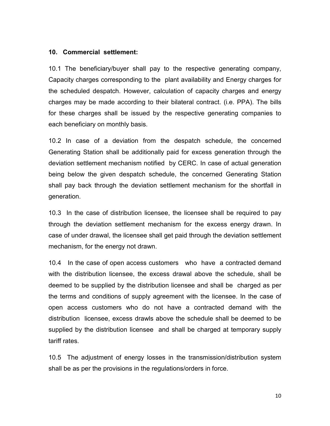#### 10. Commercial settlement:

10.1 The beneficiary/buyer shall pay to the respective generating company, Capacity charges corresponding to the plant availability and Energy charges for the scheduled despatch. However, calculation of capacity charges and energy charges may be made according to their bilateral contract. (i.e. PPA). The bills for these charges shall be issued by the respective generating companies to each beneficiary on monthly basis.

10.2 In case of a deviation from the despatch schedule, the concerned Generating Station shall be additionally paid for excess generation through the deviation settlement mechanism notified by CERC. In case of actual generation being below the given despatch schedule, the concerned Generating Station shall pay back through the deviation settlement mechanism for the shortfall in generation.

10.3 In the case of distribution licensee, the licensee shall be required to pay through the deviation settlement mechanism for the excess energy drawn. In case of under drawal, the licensee shall get paid through the deviation settlement mechanism, for the energy not drawn.

10.4 In the case of open access customers who have a contracted demand with the distribution licensee, the excess drawal above the schedule, shall be deemed to be supplied by the distribution licensee and shall be charged as per the terms and conditions of supply agreement with the licensee. In the case of open access customers who do not have a contracted demand with the distribution licensee, excess drawls above the schedule shall be deemed to be supplied by the distribution licensee and shall be charged at temporary supply tariff rates.

10.5 The adjustment of energy losses in the transmission/distribution system shall be as per the provisions in the regulations/orders in force.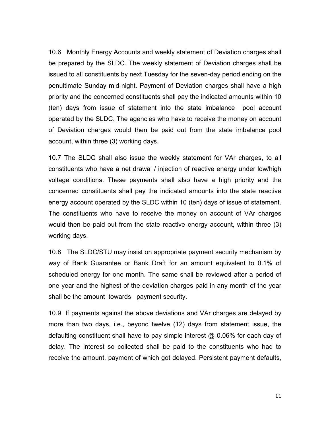10.6 Monthly Energy Accounts and weekly statement of Deviation charges shall be prepared by the SLDC. The weekly statement of Deviation charges shall be issued to all constituents by next Tuesday for the seven-day period ending on the penultimate Sunday mid-night. Payment of Deviation charges shall have a high priority and the concerned constituents shall pay the indicated amounts within 10 (ten) days from issue of statement into the state imbalance pool account operated by the SLDC. The agencies who have to receive the money on account of Deviation charges would then be paid out from the state imbalance pool account, within three (3) working days.

10.7 The SLDC shall also issue the weekly statement for VAr charges, to all constituents who have a net drawal / injection of reactive energy under low/high voltage conditions. These payments shall also have a high priority and the concerned constituents shall pay the indicated amounts into the state reactive energy account operated by the SLDC within 10 (ten) days of issue of statement. The constituents who have to receive the money on account of VAr charges would then be paid out from the state reactive energy account, within three (3) working days.

10.8 The SLDC/STU may insist on appropriate payment security mechanism by way of Bank Guarantee or Bank Draft for an amount equivalent to 0.1% of scheduled energy for one month. The same shall be reviewed after a period of one year and the highest of the deviation charges paid in any month of the year shall be the amount towards payment security.

10.9 If payments against the above deviations and VAr charges are delayed by more than two days, i.e., beyond twelve (12) days from statement issue, the defaulting constituent shall have to pay simple interest @ 0.06% for each day of delay. The interest so collected shall be paid to the constituents who had to receive the amount, payment of which got delayed. Persistent payment defaults,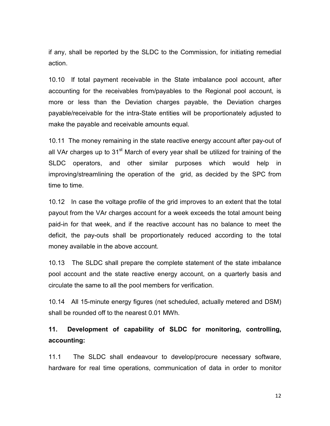if any, shall be reported by the SLDC to the Commission, for initiating remedial action.

10.10 If total payment receivable in the State imbalance pool account, after accounting for the receivables from/payables to the Regional pool account, is more or less than the Deviation charges payable, the Deviation charges payable/receivable for the intra-State entities will be proportionately adjusted to make the payable and receivable amounts equal.

10.11 The money remaining in the state reactive energy account after pay-out of all VAr charges up to  $31<sup>st</sup>$  March of every year shall be utilized for training of the SLDC operators, and other similar purposes which would help in improving/streamlining the operation of the grid, as decided by the SPC from time to time.

10.12 In case the voltage profile of the grid improves to an extent that the total payout from the VAr charges account for a week exceeds the total amount being paid-in for that week, and if the reactive account has no balance to meet the deficit, the pay-outs shall be proportionately reduced according to the total money available in the above account.

10.13 The SLDC shall prepare the complete statement of the state imbalance pool account and the state reactive energy account, on a quarterly basis and circulate the same to all the pool members for verification.

10.14 All 15-minute energy figures (net scheduled, actually metered and DSM) shall be rounded off to the nearest 0.01 MWh.

# 11. Development of capability of SLDC for monitoring, controlling, accounting:

11.1 The SLDC shall endeavour to develop/procure necessary software, hardware for real time operations, communication of data in order to monitor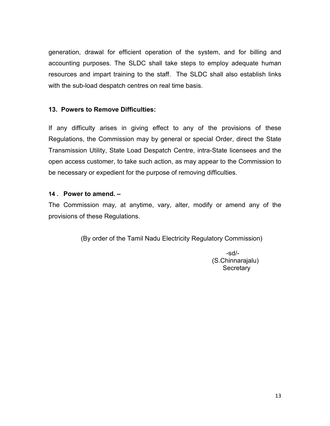generation, drawal for efficient operation of the system, and for billing and accounting purposes. The SLDC shall take steps to employ adequate human resources and impart training to the staff. The SLDC shall also establish links with the sub-load despatch centres on real time basis.

# 13. Powers to Remove Difficulties:

If any difficulty arises in giving effect to any of the provisions of these Regulations, the Commission may by general or special Order, direct the State Transmission Utility, State Load Despatch Centre, intra-State licensees and the open access customer, to take such action, as may appear to the Commission to be necessary or expedient for the purpose of removing difficulties.

#### 14 . Power to amend. –

The Commission may, at anytime, vary, alter, modify or amend any of the provisions of these Regulations.

(By order of the Tamil Nadu Electricity Regulatory Commission)

-sd/- (S.Chinnarajalu) **Secretary**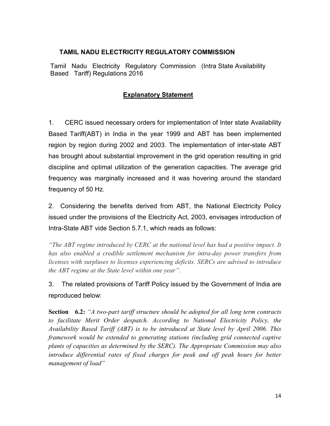#### TAMIL NADU ELECTRICITY REGULATORY COMMISSION

Tamil Nadu Electricity Regulatory Commission (Intra State Availability Based Tariff) Regulations 2016

# Explanatory Statement

1. CERC issued necessary orders for implementation of Inter state Availability Based Tariff(ABT) in India in the year 1999 and ABT has been implemented region by region during 2002 and 2003. The implementation of inter-state ABT has brought about substantial improvement in the grid operation resulting in grid discipline and optimal utilization of the generation capacities. The average grid frequency was marginally increased and it was hovering around the standard frequency of 50 Hz.

2. Considering the benefits derived from ABT, the National Electricity Policy issued under the provisions of the Electricity Act, 2003, envisages introduction of Intra-State ABT vide Section 5.7.1, which reads as follows:

"The ABT regime introduced by CERC at the national level has had a positive impact. It has also enabled a credible settlement mechanism for intra-day power transfers from licenses with surpluses to licenses experiencing deficits. SERCs are advised to introduce the ABT regime at the State level within one year".

3. The related provisions of Tariff Policy issued by the Government of India are reproduced below:

**Section** 6.2: "A two-part tariff structure should be adopted for all long term contracts to facilitate Merit Order despatch. According to National Electricity Policy, the Availability Based Tariff (ABT) is to be introduced at State level by April 2006. This framework would be extended to generating stations (including grid connected captive plants of capacities as determined by the SERC). The Appropriate Commission may also introduce differential rates of fixed charges for peak and off peak hours for better management of load"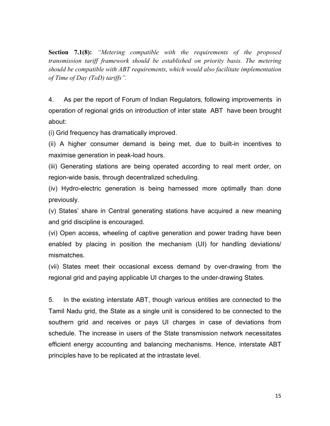**Section 7.1(8):** "Metering compatible with the requirements of the proposed transmission tariff framework should be established on priority basis. The metering should be compatible with ABT requirements, which would also facilitate implementation of Time of Day (ToD) tariffs".

4. As per the report of Forum of Indian Regulators, following improvements in operation of regional grids on introduction of inter state ABT have been brought about:

(i) Grid frequency has dramatically improved.

(ii) A higher consumer demand is being met, due to built-in incentives to maximise generation in peak-load hours.

(iii) Generating stations are being operated according to real merit order, on region-wide basis, through decentralized scheduling.

(iv) Hydro-electric generation is being harnessed more optimally than done previously.

(v) States' share in Central generating stations have acquired a new meaning and grid discipline is encouraged.

(vi) Open access, wheeling of captive generation and power trading have been enabled by placing in position the mechanism (UI) for handling deviations/ mismatches.

(vii) States meet their occasional excess demand by over-drawing from the regional grid and paying applicable UI charges to the under-drawing States.

5. In the existing interstate ABT, though various entities are connected to the Tamil Nadu grid, the State as a single unit is considered to be connected to the southern grid and receives or pays UI charges in case of deviations from schedule. The increase in users of the State transmission network necessitates efficient energy accounting and balancing mechanisms. Hence, interstate ABT principles have to be replicated at the intrastate level.